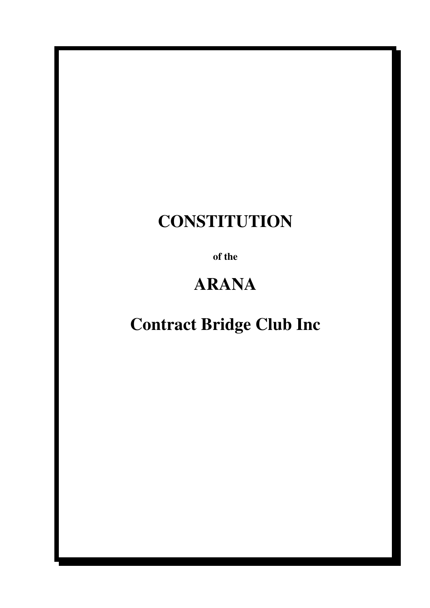# **CONSTITUTION**

**of the** 

# **ARANA**

## **Contract Bridge Club Inc**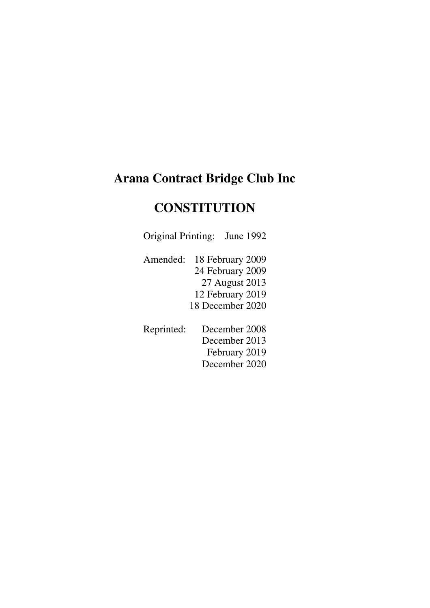### **Arana Contract Bridge Club Inc**

## **CONSTITUTION**

Original Printing: June 1992

 Amended: 18 February 2009 24 February 2009 27 August 2013 12 February 2019 18 December 2020

 Reprinted: December 2008 December 2013 February 2019 December 2020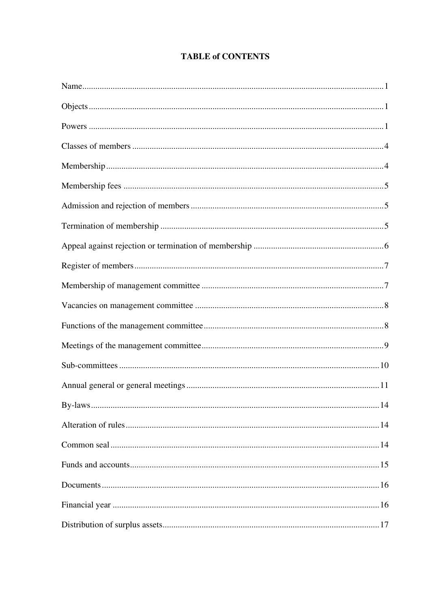#### **TABLE of CONTENTS**

| 14 |
|----|
|    |
|    |
|    |
|    |
|    |
|    |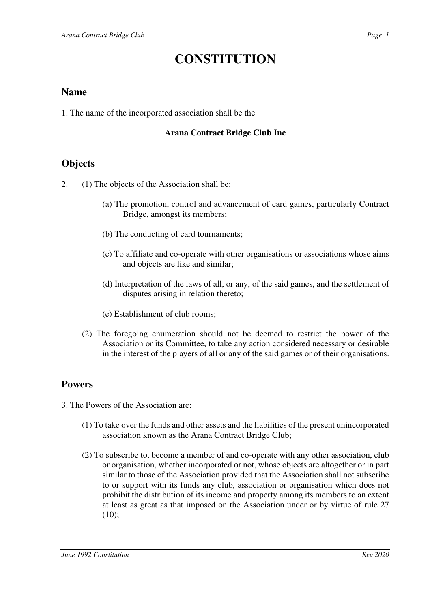## **CONSTITUTION**

#### **Name**

1. The name of the incorporated association shall be the

#### **Arana Contract Bridge Club Inc**

#### **Objects**

2. (1) The objects of the Association shall be:

- (a) The promotion, control and advancement of card games, particularly Contract Bridge, amongst its members;
- (b) The conducting of card tournaments;
- (c) To affiliate and co-operate with other organisations or associations whose aims and objects are like and similar;
- (d) Interpretation of the laws of all, or any, of the said games, and the settlement of disputes arising in relation thereto;
- (e) Establishment of club rooms;
- (2) The foregoing enumeration should not be deemed to restrict the power of the Association or its Committee, to take any action considered necessary or desirable in the interest of the players of all or any of the said games or of their organisations.

### **Powers**

3. The Powers of the Association are:

- (1) To take over the funds and other assets and the liabilities of the present unincorporated association known as the Arana Contract Bridge Club;
- (2) To subscribe to, become a member of and co-operate with any other association, club or organisation, whether incorporated or not, whose objects are altogether or in part similar to those of the Association provided that the Association shall not subscribe to or support with its funds any club, association or organisation which does not prohibit the distribution of its income and property among its members to an extent at least as great as that imposed on the Association under or by virtue of rule 27  $(10);$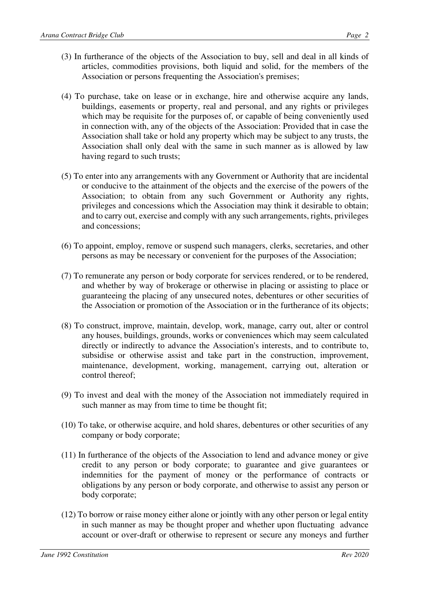- (3) In furtherance of the objects of the Association to buy, sell and deal in all kinds of articles, commodities provisions, both liquid and solid, for the members of the Association or persons frequenting the Association's premises;
- (4) To purchase, take on lease or in exchange, hire and otherwise acquire any lands, buildings, easements or property, real and personal, and any rights or privileges which may be requisite for the purposes of, or capable of being conveniently used in connection with, any of the objects of the Association: Provided that in case the Association shall take or hold any property which may be subject to any trusts, the Association shall only deal with the same in such manner as is allowed by law having regard to such trusts;
- (5) To enter into any arrangements with any Government or Authority that are incidental or conducive to the attainment of the objects and the exercise of the powers of the Association; to obtain from any such Government or Authority any rights, privileges and concessions which the Association may think it desirable to obtain; and to carry out, exercise and comply with any such arrangements, rights, privileges and concessions;
- (6) To appoint, employ, remove or suspend such managers, clerks, secretaries, and other persons as may be necessary or convenient for the purposes of the Association;
- (7) To remunerate any person or body corporate for services rendered, or to be rendered, and whether by way of brokerage or otherwise in placing or assisting to place or guaranteeing the placing of any unsecured notes, debentures or other securities of the Association or promotion of the Association or in the furtherance of its objects;
- (8) To construct, improve, maintain, develop, work, manage, carry out, alter or control any houses, buildings, grounds, works or conveniences which may seem calculated directly or indirectly to advance the Association's interests, and to contribute to, subsidise or otherwise assist and take part in the construction, improvement, maintenance, development, working, management, carrying out, alteration or control thereof;
- (9) To invest and deal with the money of the Association not immediately required in such manner as may from time to time be thought fit;
- (10) To take, or otherwise acquire, and hold shares, debentures or other securities of any company or body corporate;
- (11) In furtherance of the objects of the Association to lend and advance money or give credit to any person or body corporate; to guarantee and give guarantees or indemnities for the payment of money or the performance of contracts or obligations by any person or body corporate, and otherwise to assist any person or body corporate;
- (12) To borrow or raise money either alone or jointly with any other person or legal entity in such manner as may be thought proper and whether upon fluctuating advance account or over-draft or otherwise to represent or secure any moneys and further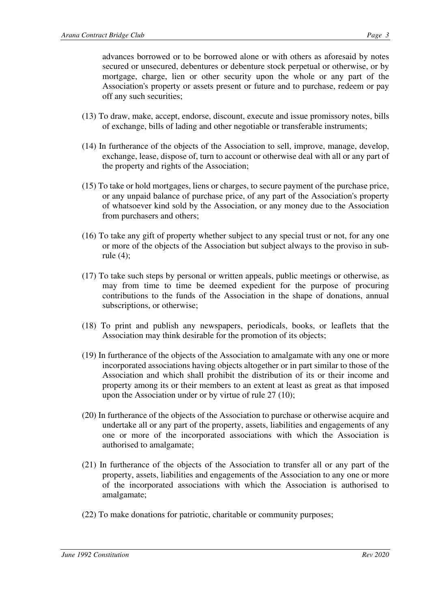advances borrowed or to be borrowed alone or with others as aforesaid by notes secured or unsecured, debentures or debenture stock perpetual or otherwise, or by mortgage, charge, lien or other security upon the whole or any part of the Association's property or assets present or future and to purchase, redeem or pay off any such securities;

- (13) To draw, make, accept, endorse, discount, execute and issue promissory notes, bills of exchange, bills of lading and other negotiable or transferable instruments;
- (14) In furtherance of the objects of the Association to sell, improve, manage, develop, exchange, lease, dispose of, turn to account or otherwise deal with all or any part of the property and rights of the Association;
- (15) To take or hold mortgages, liens or charges, to secure payment of the purchase price, or any unpaid balance of purchase price, of any part of the Association's property of whatsoever kind sold by the Association, or any money due to the Association from purchasers and others;
- (16) To take any gift of property whether subject to any special trust or not, for any one or more of the objects of the Association but subject always to the proviso in subrule (4);
- (17) To take such steps by personal or written appeals, public meetings or otherwise, as may from time to time be deemed expedient for the purpose of procuring contributions to the funds of the Association in the shape of donations, annual subscriptions, or otherwise;
- (18) To print and publish any newspapers, periodicals, books, or leaflets that the Association may think desirable for the promotion of its objects;
- (19) In furtherance of the objects of the Association to amalgamate with any one or more incorporated associations having objects altogether or in part similar to those of the Association and which shall prohibit the distribution of its or their income and property among its or their members to an extent at least as great as that imposed upon the Association under or by virtue of rule 27 (10);
- (20) In furtherance of the objects of the Association to purchase or otherwise acquire and undertake all or any part of the property, assets, liabilities and engagements of any one or more of the incorporated associations with which the Association is authorised to amalgamate;
- (21) In furtherance of the objects of the Association to transfer all or any part of the property, assets, liabilities and engagements of the Association to any one or more of the incorporated associations with which the Association is authorised to amalgamate;
- (22) To make donations for patriotic, charitable or community purposes;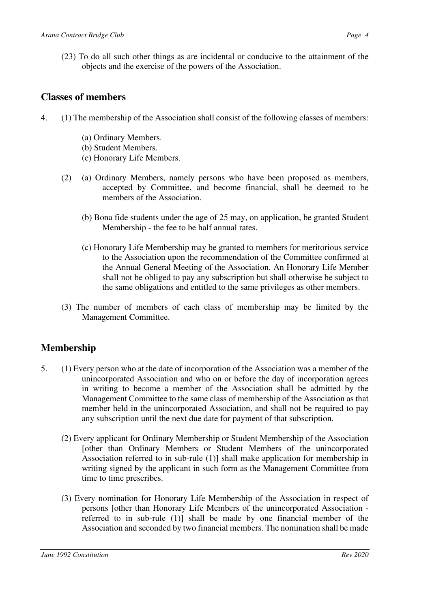(23) To do all such other things as are incidental or conducive to the attainment of the objects and the exercise of the powers of the Association.

#### **Classes of members**

- 4. (1) The membership of the Association shall consist of the following classes of members:
	- (a) Ordinary Members.
	- (b) Student Members.
	- (c) Honorary Life Members.
	- (2) (a) Ordinary Members, namely persons who have been proposed as members, accepted by Committee, and become financial, shall be deemed to be members of the Association.
		- (b) Bona fide students under the age of 25 may, on application, be granted Student Membership - the fee to be half annual rates.
		- (c) Honorary Life Membership may be granted to members for meritorious service to the Association upon the recommendation of the Committee confirmed at the Annual General Meeting of the Association. An Honorary Life Member shall not be obliged to pay any subscription but shall otherwise be subject to the same obligations and entitled to the same privileges as other members.
	- (3) The number of members of each class of membership may be limited by the Management Committee.

### **Membership**

- 5. (1) Every person who at the date of incorporation of the Association was a member of the unincorporated Association and who on or before the day of incorporation agrees in writing to become a member of the Association shall be admitted by the Management Committee to the same class of membership of the Association as that member held in the unincorporated Association, and shall not be required to pay any subscription until the next due date for payment of that subscription.
	- (2) Every applicant for Ordinary Membership or Student Membership of the Association [other than Ordinary Members or Student Members of the unincorporated Association referred to in sub-rule (1)] shall make application for membership in writing signed by the applicant in such form as the Management Committee from time to time prescribes.
	- (3) Every nomination for Honorary Life Membership of the Association in respect of persons [other than Honorary Life Members of the unincorporated Association referred to in sub-rule (1)] shall be made by one financial member of the Association and seconded by two financial members. The nomination shall be made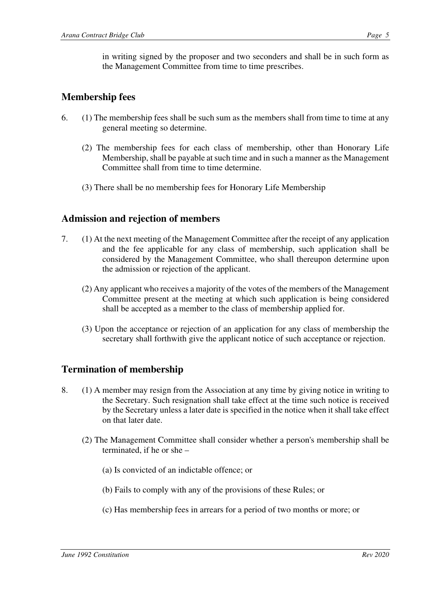in writing signed by the proposer and two seconders and shall be in such form as the Management Committee from time to time prescribes.

#### **Membership fees**

- 6. (1) The membership fees shall be such sum as the members shall from time to time at any general meeting so determine.
	- (2) The membership fees for each class of membership, other than Honorary Life Membership, shall be payable at such time and in such a manner as the Management Committee shall from time to time determine.
	- (3) There shall be no membership fees for Honorary Life Membership

#### **Admission and rejection of members**

- 7. (1) At the next meeting of the Management Committee after the receipt of any application and the fee applicable for any class of membership, such application shall be considered by the Management Committee, who shall thereupon determine upon the admission or rejection of the applicant.
	- (2) Any applicant who receives a majority of the votes of the members of the Management Committee present at the meeting at which such application is being considered shall be accepted as a member to the class of membership applied for.
	- (3) Upon the acceptance or rejection of an application for any class of membership the secretary shall forthwith give the applicant notice of such acceptance or rejection.

#### **Termination of membership**

- 8. (1) A member may resign from the Association at any time by giving notice in writing to the Secretary. Such resignation shall take effect at the time such notice is received by the Secretary unless a later date is specified in the notice when it shall take effect on that later date.
	- (2) The Management Committee shall consider whether a person's membership shall be terminated, if he or she –
		- (a) Is convicted of an indictable offence; or
		- (b) Fails to comply with any of the provisions of these Rules; or
		- (c) Has membership fees in arrears for a period of two months or more; or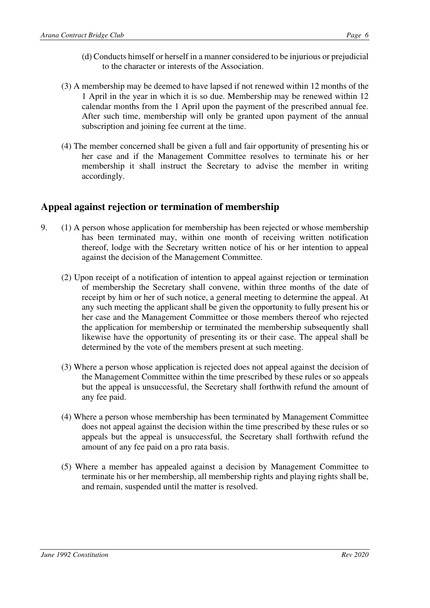- (d) Conducts himself or herself in a manner considered to be injurious or prejudicial to the character or interests of the Association.
- (3) A membership may be deemed to have lapsed if not renewed within 12 months of the 1 April in the year in which it is so due. Membership may be renewed within 12 calendar months from the 1 April upon the payment of the prescribed annual fee. After such time, membership will only be granted upon payment of the annual subscription and joining fee current at the time.
- (4) The member concerned shall be given a full and fair opportunity of presenting his or her case and if the Management Committee resolves to terminate his or her membership it shall instruct the Secretary to advise the member in writing accordingly.

#### **Appeal against rejection or termination of membership**

- 9. (1) A person whose application for membership has been rejected or whose membership has been terminated may, within one month of receiving written notification thereof, lodge with the Secretary written notice of his or her intention to appeal against the decision of the Management Committee.
	- (2) Upon receipt of a notification of intention to appeal against rejection or termination of membership the Secretary shall convene, within three months of the date of receipt by him or her of such notice, a general meeting to determine the appeal. At any such meeting the applicant shall be given the opportunity to fully present his or her case and the Management Committee or those members thereof who rejected the application for membership or terminated the membership subsequently shall likewise have the opportunity of presenting its or their case. The appeal shall be determined by the vote of the members present at such meeting.
	- (3) Where a person whose application is rejected does not appeal against the decision of the Management Committee within the time prescribed by these rules or so appeals but the appeal is unsuccessful, the Secretary shall forthwith refund the amount of any fee paid.
	- (4) Where a person whose membership has been terminated by Management Committee does not appeal against the decision within the time prescribed by these rules or so appeals but the appeal is unsuccessful, the Secretary shall forthwith refund the amount of any fee paid on a pro rata basis.
	- (5) Where a member has appealed against a decision by Management Committee to terminate his or her membership, all membership rights and playing rights shall be, and remain, suspended until the matter is resolved.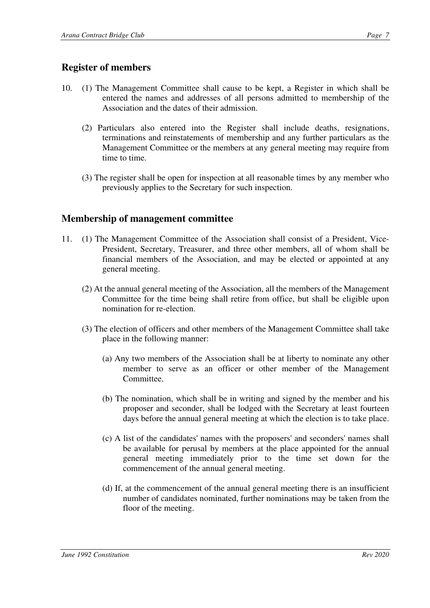#### **Register of members**

- 10. (1) The Management Committee shall cause to be kept, a Register in which shall be entered the names and addresses of all persons admitted to membership of the Association and the dates of their admission.
	- (2) Particulars also entered into the Register shall include deaths, resignations, terminations and reinstatements of membership and any further particulars as the Management Committee or the members at any general meeting may require from time to time.
	- (3) The register shall be open for inspection at all reasonable times by any member who previously applies to the Secretary for such inspection.

#### **Membership of management committee**

- 11. (1) The Management Committee of the Association shall consist of a President, Vice-President, Secretary, Treasurer, and three other members, all of whom shall be financial members of the Association, and may be elected or appointed at any general meeting.
	- (2) At the annual general meeting of the Association, all the members of the Management Committee for the time being shall retire from office, but shall be eligible upon nomination for re-election.
	- (3) The election of officers and other members of the Management Committee shall take place in the following manner:
		- (a) Any two members of the Association shall be at liberty to nominate any other member to serve as an officer or other member of the Management Committee.
		- (b) The nomination, which shall be in writing and signed by the member and his proposer and seconder, shall be lodged with the Secretary at least fourteen days before the annual general meeting at which the election is to take place.
		- (c) A list of the candidates' names with the proposers' and seconders' names shall be available for perusal by members at the place appointed for the annual general meeting immediately prior to the time set down for the commencement of the annual general meeting.
		- (d) If, at the commencement of the annual general meeting there is an insufficient number of candidates nominated, further nominations may be taken from the floor of the meeting.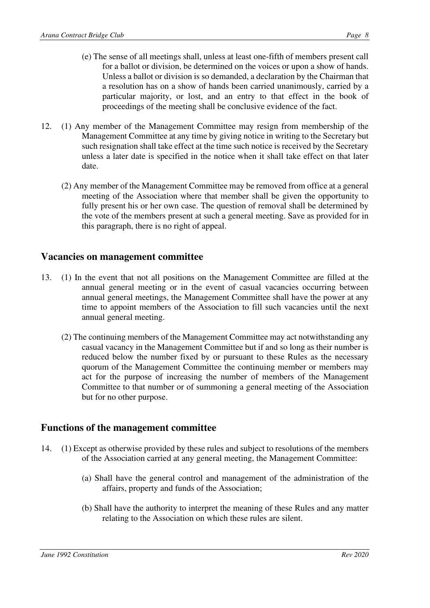- (e) The sense of all meetings shall, unless at least one-fifth of members present call for a ballot or division, be determined on the voices or upon a show of hands. Unless a ballot or division is so demanded, a declaration by the Chairman that a resolution has on a show of hands been carried unanimously, carried by a particular majority, or lost, and an entry to that effect in the book of proceedings of the meeting shall be conclusive evidence of the fact.
- 12. (1) Any member of the Management Committee may resign from membership of the Management Committee at any time by giving notice in writing to the Secretary but such resignation shall take effect at the time such notice is received by the Secretary unless a later date is specified in the notice when it shall take effect on that later date.
	- (2) Any member of the Management Committee may be removed from office at a general meeting of the Association where that member shall be given the opportunity to fully present his or her own case. The question of removal shall be determined by the vote of the members present at such a general meeting. Save as provided for in this paragraph, there is no right of appeal.

#### **Vacancies on management committee**

- 13. (1) In the event that not all positions on the Management Committee are filled at the annual general meeting or in the event of casual vacancies occurring between annual general meetings, the Management Committee shall have the power at any time to appoint members of the Association to fill such vacancies until the next annual general meeting.
	- (2) The continuing members of the Management Committee may act notwithstanding any casual vacancy in the Management Committee but if and so long as their number is reduced below the number fixed by or pursuant to these Rules as the necessary quorum of the Management Committee the continuing member or members may act for the purpose of increasing the number of members of the Management Committee to that number or of summoning a general meeting of the Association but for no other purpose.

#### **Functions of the management committee**

- 14. (1) Except as otherwise provided by these rules and subject to resolutions of the members of the Association carried at any general meeting, the Management Committee:
	- (a) Shall have the general control and management of the administration of the affairs, property and funds of the Association;
	- (b) Shall have the authority to interpret the meaning of these Rules and any matter relating to the Association on which these rules are silent.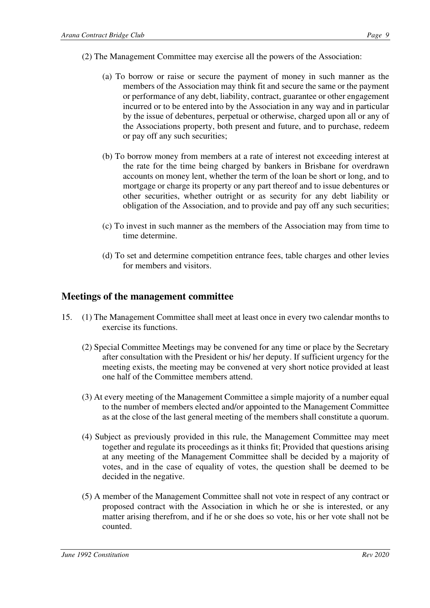- (2) The Management Committee may exercise all the powers of the Association:
	- (a) To borrow or raise or secure the payment of money in such manner as the members of the Association may think fit and secure the same or the payment or performance of any debt, liability, contract, guarantee or other engagement incurred or to be entered into by the Association in any way and in particular by the issue of debentures, perpetual or otherwise, charged upon all or any of the Associations property, both present and future, and to purchase, redeem or pay off any such securities;
	- (b) To borrow money from members at a rate of interest not exceeding interest at the rate for the time being charged by bankers in Brisbane for overdrawn accounts on money lent, whether the term of the loan be short or long, and to mortgage or charge its property or any part thereof and to issue debentures or other securities, whether outright or as security for any debt liability or obligation of the Association, and to provide and pay off any such securities;
	- (c) To invest in such manner as the members of the Association may from time to time determine.
	- (d) To set and determine competition entrance fees, table charges and other levies for members and visitors.

#### **Meetings of the management committee**

- 15. (1) The Management Committee shall meet at least once in every two calendar months to exercise its functions.
	- (2) Special Committee Meetings may be convened for any time or place by the Secretary after consultation with the President or his/ her deputy. If sufficient urgency for the meeting exists, the meeting may be convened at very short notice provided at least one half of the Committee members attend.
	- (3) At every meeting of the Management Committee a simple majority of a number equal to the number of members elected and/or appointed to the Management Committee as at the close of the last general meeting of the members shall constitute a quorum.
	- (4) Subject as previously provided in this rule, the Management Committee may meet together and regulate its proceedings as it thinks fit; Provided that questions arising at any meeting of the Management Committee shall be decided by a majority of votes, and in the case of equality of votes, the question shall be deemed to be decided in the negative.
	- (5) A member of the Management Committee shall not vote in respect of any contract or proposed contract with the Association in which he or she is interested, or any matter arising therefrom, and if he or she does so vote, his or her vote shall not be counted.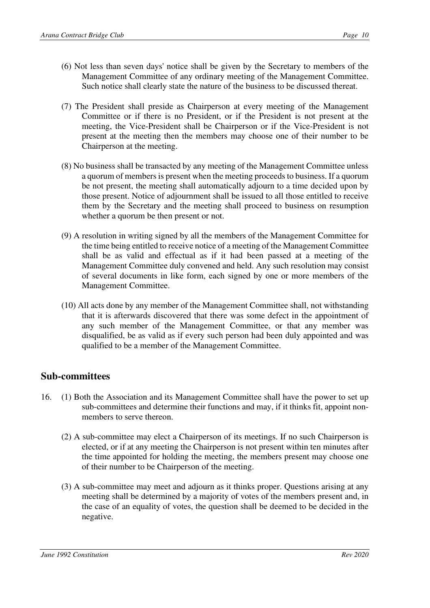- (6) Not less than seven days' notice shall be given by the Secretary to members of the Management Committee of any ordinary meeting of the Management Committee. Such notice shall clearly state the nature of the business to be discussed thereat.
- (7) The President shall preside as Chairperson at every meeting of the Management Committee or if there is no President, or if the President is not present at the meeting, the Vice-President shall be Chairperson or if the Vice-President is not present at the meeting then the members may choose one of their number to be Chairperson at the meeting.
- (8) No business shall be transacted by any meeting of the Management Committee unless a quorum of members is present when the meeting proceeds to business. If a quorum be not present, the meeting shall automatically adjourn to a time decided upon by those present. Notice of adjournment shall be issued to all those entitled to receive them by the Secretary and the meeting shall proceed to business on resumption whether a quorum be then present or not.
- (9) A resolution in writing signed by all the members of the Management Committee for the time being entitled to receive notice of a meeting of the Management Committee shall be as valid and effectual as if it had been passed at a meeting of the Management Committee duly convened and held. Any such resolution may consist of several documents in like form, each signed by one or more members of the Management Committee.
- (10) All acts done by any member of the Management Committee shall, not withstanding that it is afterwards discovered that there was some defect in the appointment of any such member of the Management Committee, or that any member was disqualified, be as valid as if every such person had been duly appointed and was qualified to be a member of the Management Committee.

#### **Sub-committees**

- 16. (1) Both the Association and its Management Committee shall have the power to set up sub-committees and determine their functions and may, if it thinks fit, appoint nonmembers to serve thereon.
	- (2) A sub-committee may elect a Chairperson of its meetings. If no such Chairperson is elected, or if at any meeting the Chairperson is not present within ten minutes after the time appointed for holding the meeting, the members present may choose one of their number to be Chairperson of the meeting.
	- (3) A sub-committee may meet and adjourn as it thinks proper. Questions arising at any meeting shall be determined by a majority of votes of the members present and, in the case of an equality of votes, the question shall be deemed to be decided in the negative.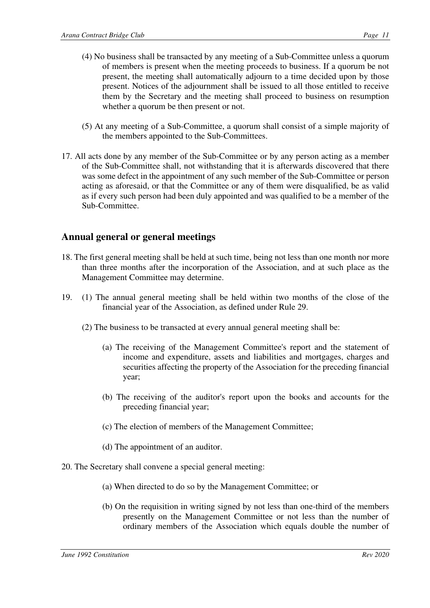- (4) No business shall be transacted by any meeting of a Sub-Committee unless a quorum of members is present when the meeting proceeds to business. If a quorum be not present, the meeting shall automatically adjourn to a time decided upon by those present. Notices of the adjournment shall be issued to all those entitled to receive them by the Secretary and the meeting shall proceed to business on resumption whether a quorum be then present or not.
- (5) At any meeting of a Sub-Committee, a quorum shall consist of a simple majority of the members appointed to the Sub-Committees.
- 17. All acts done by any member of the Sub-Committee or by any person acting as a member of the Sub-Committee shall, not withstanding that it is afterwards discovered that there was some defect in the appointment of any such member of the Sub-Committee or person acting as aforesaid, or that the Committee or any of them were disqualified, be as valid as if every such person had been duly appointed and was qualified to be a member of the Sub-Committee.

#### **Annual general or general meetings**

- 18. The first general meeting shall be held at such time, being not less than one month nor more than three months after the incorporation of the Association, and at such place as the Management Committee may determine.
- 19. (1) The annual general meeting shall be held within two months of the close of the financial year of the Association, as defined under Rule 29.
	- (2) The business to be transacted at every annual general meeting shall be:
		- (a) The receiving of the Management Committee's report and the statement of income and expenditure, assets and liabilities and mortgages, charges and securities affecting the property of the Association for the preceding financial year;
		- (b) The receiving of the auditor's report upon the books and accounts for the preceding financial year;
		- (c) The election of members of the Management Committee;
		- (d) The appointment of an auditor.
- 20. The Secretary shall convene a special general meeting:
	- (a) When directed to do so by the Management Committee; or
	- (b) On the requisition in writing signed by not less than one-third of the members presently on the Management Committee or not less than the number of ordinary members of the Association which equals double the number of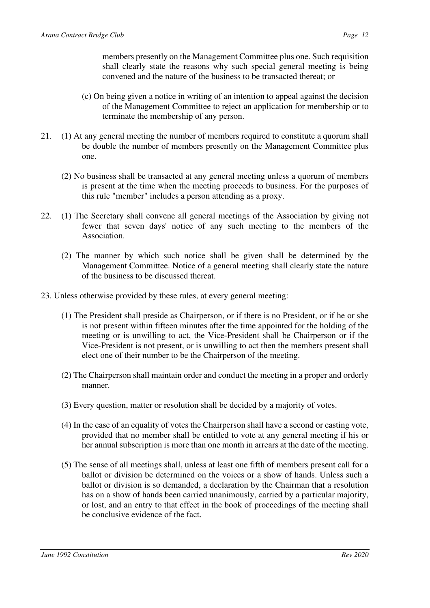members presently on the Management Committee plus one. Such requisition shall clearly state the reasons why such special general meeting is being convened and the nature of the business to be transacted thereat; or

- (c) On being given a notice in writing of an intention to appeal against the decision of the Management Committee to reject an application for membership or to terminate the membership of any person.
- 21. (1) At any general meeting the number of members required to constitute a quorum shall be double the number of members presently on the Management Committee plus one.
	- (2) No business shall be transacted at any general meeting unless a quorum of members is present at the time when the meeting proceeds to business. For the purposes of this rule "member" includes a person attending as a proxy.
- 22. (1) The Secretary shall convene all general meetings of the Association by giving not fewer that seven days' notice of any such meeting to the members of the Association.
	- (2) The manner by which such notice shall be given shall be determined by the Management Committee. Notice of a general meeting shall clearly state the nature of the business to be discussed thereat.
- 23. Unless otherwise provided by these rules, at every general meeting:
	- (1) The President shall preside as Chairperson, or if there is no President, or if he or she is not present within fifteen minutes after the time appointed for the holding of the meeting or is unwilling to act, the Vice-President shall be Chairperson or if the Vice-President is not present, or is unwilling to act then the members present shall elect one of their number to be the Chairperson of the meeting.
	- (2) The Chairperson shall maintain order and conduct the meeting in a proper and orderly manner.
	- (3) Every question, matter or resolution shall be decided by a majority of votes.
	- (4) In the case of an equality of votes the Chairperson shall have a second or casting vote, provided that no member shall be entitled to vote at any general meeting if his or her annual subscription is more than one month in arrears at the date of the meeting.
	- (5) The sense of all meetings shall, unless at least one fifth of members present call for a ballot or division be determined on the voices or a show of hands. Unless such a ballot or division is so demanded, a declaration by the Chairman that a resolution has on a show of hands been carried unanimously, carried by a particular majority, or lost, and an entry to that effect in the book of proceedings of the meeting shall be conclusive evidence of the fact.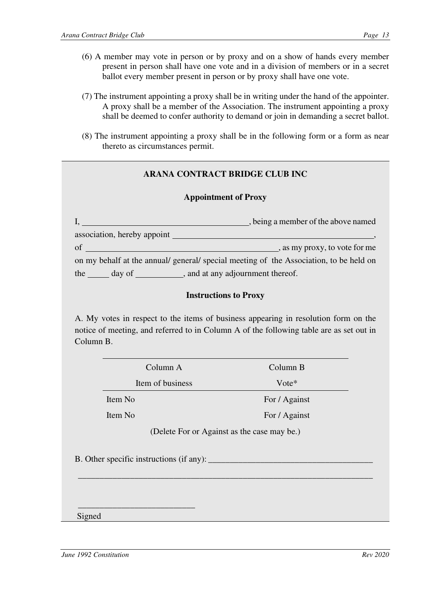- (7) The instrument appointing a proxy shall be in writing under the hand of the appointer. A proxy shall be a member of the Association. The instrument appointing a proxy shall be deemed to confer authority to demand or join in demanding a secret ballot.
- (8) The instrument appointing a proxy shall be in the following form or a form as near thereto as circumstances permit.

#### **ARANA CONTRACT BRIDGE CLUB INC**

#### **Appointment of Proxy**

|                                                                                        | being a member of the above named |
|----------------------------------------------------------------------------------------|-----------------------------------|
| association, hereby appoint                                                            |                                   |
| of                                                                                     | , as my proxy, to vote for me     |
| on my behalf at the annual/ general/ special meeting of the Association, to be held on |                                   |
| ___, and at any adjournment thereof.<br>the<br>day of                                  |                                   |

#### **Instructions to Proxy**

A. My votes in respect to the items of business appearing in resolution form on the notice of meeting, and referred to in Column A of the following table are as set out in Column B.

| Column A         | Column B      |
|------------------|---------------|
| Item of business | $Vote*$       |
| Item No          | For / Against |
| Item No          | For / Against |

(Delete For or Against as the case may be.)

\_\_\_\_\_\_\_\_\_\_\_\_\_\_\_\_\_\_\_\_\_\_\_\_\_\_\_\_\_\_\_\_\_\_\_\_\_\_\_\_\_\_\_\_\_\_\_\_\_\_\_\_\_\_\_\_\_\_\_\_\_\_\_\_\_\_\_\_

B. Other specific instructions (if any):

 $\frac{1}{2}$  , and the set of the set of the set of the set of the set of the set of the set of the set of the set of the set of the set of the set of the set of the set of the set of the set of the set of the set of the set

Signed

*June 1992 Constitution Rev 2020*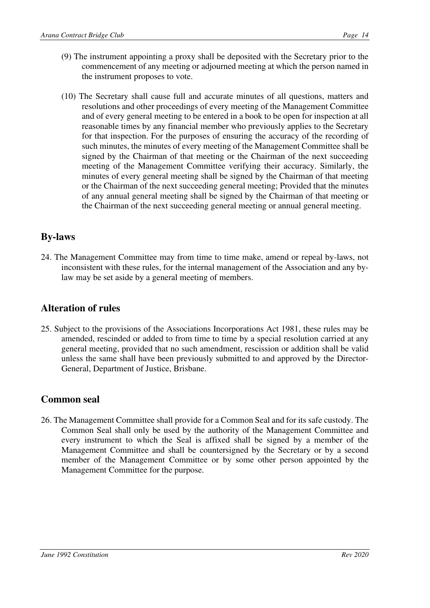- (9) The instrument appointing a proxy shall be deposited with the Secretary prior to the commencement of any meeting or adjourned meeting at which the person named in the instrument proposes to vote.
- (10) The Secretary shall cause full and accurate minutes of all questions, matters and resolutions and other proceedings of every meeting of the Management Committee and of every general meeting to be entered in a book to be open for inspection at all reasonable times by any financial member who previously applies to the Secretary for that inspection. For the purposes of ensuring the accuracy of the recording of such minutes, the minutes of every meeting of the Management Committee shall be signed by the Chairman of that meeting or the Chairman of the next succeeding meeting of the Management Committee verifying their accuracy. Similarly, the minutes of every general meeting shall be signed by the Chairman of that meeting or the Chairman of the next succeeding general meeting; Provided that the minutes of any annual general meeting shall be signed by the Chairman of that meeting or the Chairman of the next succeeding general meeting or annual general meeting.

### **By-laws**

24. The Management Committee may from time to time make, amend or repeal by-laws, not inconsistent with these rules, for the internal management of the Association and any bylaw may be set aside by a general meeting of members.

#### **Alteration of rules**

25. Subject to the provisions of the Associations Incorporations Act 1981, these rules may be amended, rescinded or added to from time to time by a special resolution carried at any general meeting, provided that no such amendment, rescission or addition shall be valid unless the same shall have been previously submitted to and approved by the Director-General, Department of Justice, Brisbane.

#### **Common seal**

26. The Management Committee shall provide for a Common Seal and for its safe custody. The Common Seal shall only be used by the authority of the Management Committee and every instrument to which the Seal is affixed shall be signed by a member of the Management Committee and shall be countersigned by the Secretary or by a second member of the Management Committee or by some other person appointed by the Management Committee for the purpose.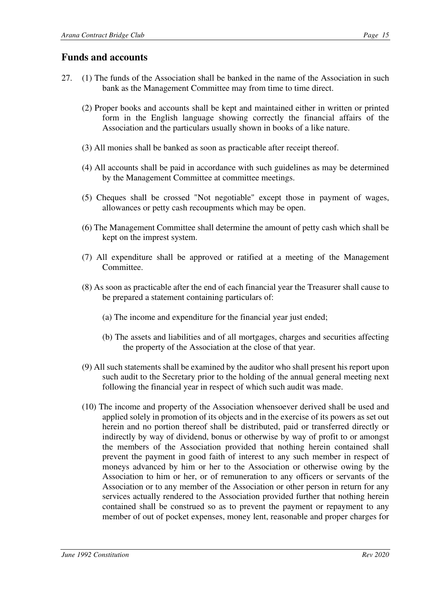#### **Funds and accounts**

- 27. (1) The funds of the Association shall be banked in the name of the Association in such bank as the Management Committee may from time to time direct.
	- (2) Proper books and accounts shall be kept and maintained either in written or printed form in the English language showing correctly the financial affairs of the Association and the particulars usually shown in books of a like nature.
	- (3) All monies shall be banked as soon as practicable after receipt thereof.
	- (4) All accounts shall be paid in accordance with such guidelines as may be determined by the Management Committee at committee meetings.
	- (5) Cheques shall be crossed "Not negotiable" except those in payment of wages, allowances or petty cash recoupments which may be open.
	- (6) The Management Committee shall determine the amount of petty cash which shall be kept on the imprest system.
	- (7) All expenditure shall be approved or ratified at a meeting of the Management Committee.
	- (8) As soon as practicable after the end of each financial year the Treasurer shall cause to be prepared a statement containing particulars of:
		- (a) The income and expenditure for the financial year just ended;
		- (b) The assets and liabilities and of all mortgages, charges and securities affecting the property of the Association at the close of that year.
	- (9) All such statements shall be examined by the auditor who shall present his report upon such audit to the Secretary prior to the holding of the annual general meeting next following the financial year in respect of which such audit was made.
	- (10) The income and property of the Association whensoever derived shall be used and applied solely in promotion of its objects and in the exercise of its powers as set out herein and no portion thereof shall be distributed, paid or transferred directly or indirectly by way of dividend, bonus or otherwise by way of profit to or amongst the members of the Association provided that nothing herein contained shall prevent the payment in good faith of interest to any such member in respect of moneys advanced by him or her to the Association or otherwise owing by the Association to him or her, or of remuneration to any officers or servants of the Association or to any member of the Association or other person in return for any services actually rendered to the Association provided further that nothing herein contained shall be construed so as to prevent the payment or repayment to any member of out of pocket expenses, money lent, reasonable and proper charges for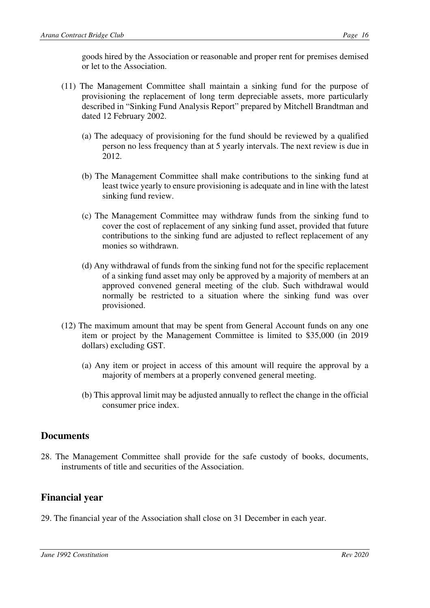goods hired by the Association or reasonable and proper rent for premises demised or let to the Association.

- (11) The Management Committee shall maintain a sinking fund for the purpose of provisioning the replacement of long term depreciable assets, more particularly described in "Sinking Fund Analysis Report" prepared by Mitchell Brandtman and dated 12 February 2002.
	- (a) The adequacy of provisioning for the fund should be reviewed by a qualified person no less frequency than at 5 yearly intervals. The next review is due in 2012.
	- (b) The Management Committee shall make contributions to the sinking fund at least twice yearly to ensure provisioning is adequate and in line with the latest sinking fund review.
	- (c) The Management Committee may withdraw funds from the sinking fund to cover the cost of replacement of any sinking fund asset, provided that future contributions to the sinking fund are adjusted to reflect replacement of any monies so withdrawn.
	- (d) Any withdrawal of funds from the sinking fund not for the specific replacement of a sinking fund asset may only be approved by a majority of members at an approved convened general meeting of the club. Such withdrawal would normally be restricted to a situation where the sinking fund was over provisioned.
- (12) The maximum amount that may be spent from General Account funds on any one item or project by the Management Committee is limited to \$35,000 (in 2019 dollars) excluding GST.
	- (a) Any item or project in access of this amount will require the approval by a majority of members at a properly convened general meeting.
	- (b) This approval limit may be adjusted annually to reflect the change in the official consumer price index.

#### **Documents**

28. The Management Committee shall provide for the safe custody of books, documents, instruments of title and securities of the Association.

#### **Financial year**

29. The financial year of the Association shall close on 31 December in each year.